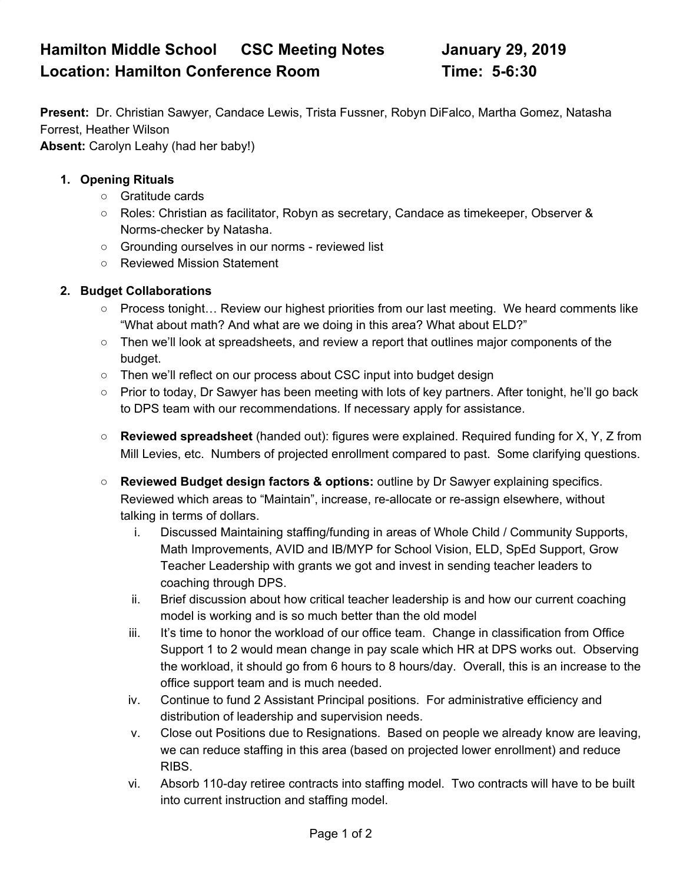# **Hamilton Middle School CSC Meeting Notes January 29, 2019 Location: Hamilton Conference Room Time: 5-6:30**

**Present:** Dr. Christian Sawyer, Candace Lewis, Trista Fussner, Robyn DiFalco, Martha Gomez, Natasha Forrest, Heather Wilson

**Absent:** Carolyn Leahy (had her baby!)

#### **1. Opening Rituals**

- Gratitude cards
- Roles: Christian as facilitator, Robyn as secretary, Candace as timekeeper, Observer & Norms-checker by Natasha.
- Grounding ourselves in our norms reviewed list
- Reviewed Mission Statement

#### **2. Budget Collaborations**

- Process tonight... Review our highest priorities from our last meeting. We heard comments like "What about math? And what are we doing in this area? What about ELD?"
- Then we'll look at spreadsheets, and review a report that outlines major components of the budget.
- Then we'll reflect on our process about CSC input into budget design
- Prior to today, Dr Sawyer has been meeting with lots of key partners. After tonight, he'll go back to DPS team with our recommendations. If necessary apply for assistance.
- **Reviewed spreadsheet** (handed out): figures were explained. Required funding for X, Y, Z from Mill Levies, etc. Numbers of projected enrollment compared to past. Some clarifying questions.
- **Reviewed Budget design factors & options:** outline by Dr Sawyer explaining specifics. Reviewed which areas to "Maintain", increase, re-allocate or re-assign elsewhere, without talking in terms of dollars.
	- i. Discussed Maintaining staffing/funding in areas of Whole Child / Community Supports, Math Improvements, AVID and IB/MYP for School Vision, ELD, SpEd Support, Grow Teacher Leadership with grants we got and invest in sending teacher leaders to coaching through DPS.
	- ii. Brief discussion about how critical teacher leadership is and how our current coaching model is working and is so much better than the old model
	- iii. It's time to honor the workload of our office team. Change in classification from Office Support 1 to 2 would mean change in pay scale which HR at DPS works out. Observing the workload, it should go from 6 hours to 8 hours/day. Overall, this is an increase to the office support team and is much needed.
	- iv. Continue to fund 2 Assistant Principal positions. For administrative efficiency and distribution of leadership and supervision needs.
	- v. Close out Positions due to Resignations. Based on people we already know are leaving, we can reduce staffing in this area (based on projected lower enrollment) and reduce RIBS.
	- vi. Absorb 110-day retiree contracts into staffing model. Two contracts will have to be built into current instruction and staffing model.